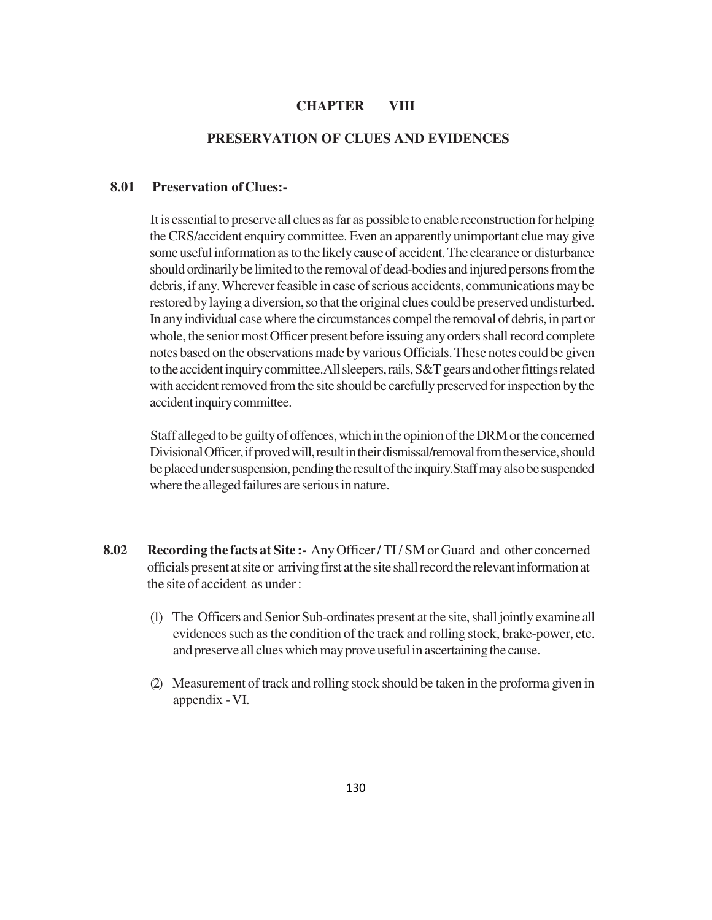### **CHAPTER VIII**

#### **PRESERVATION OF CLUES AND EVIDENCES**

### **8.01 Preservation of Clues:-**

It is essential to preserve all clues as far as possible to enable reconstruction for helping the CRS/accident enquiry committee. Even an apparently unimportant clue may give some useful information as to the likely cause of accident. The clearance or disturbance should ordinarily be limited to the removal of dead-bodies and injured persons from the debris, if any. Wherever feasible in case of serious accidents, communications may be restored by laying a diversion, so that the original clues could be preserved undisturbed. In any individual case where the circumstances compel the removal of debris, in part or whole, the senior most Officer present before issuing any orders shall record complete notes based on the observations made by various Officials. These notes could be given to the accident inquiry committee.All sleepers, rails, S&T gears and other fittings related with accident removed from the site should be carefully preserved for inspection by the accident inquiry committee.

Staff alleged to be guilty of offences, which in the opinion of the DRM or the concerned Divisional Officer, if proved will, result in their dismissal/removal from the service, should be placed under suspension, pending the result of the inquiry.Staff may also be suspended where the alleged failures are serious in nature.

- **8.02 Recording the facts at Site :-** Any Officer / TI / SM or Guard and other concerned officials present at site or arriving first at the site shall record the relevant information at the site of accident as under :
	- (1) The Officers and Senior Sub-ordinates present at the site, shall jointly examine all evidences such as the condition of the track and rolling stock, brake-power, etc. and preserve all clues which may prove useful in ascertaining the cause.
	- (2) Measurement of track and rolling stock should be taken in the proforma given in appendix - VI.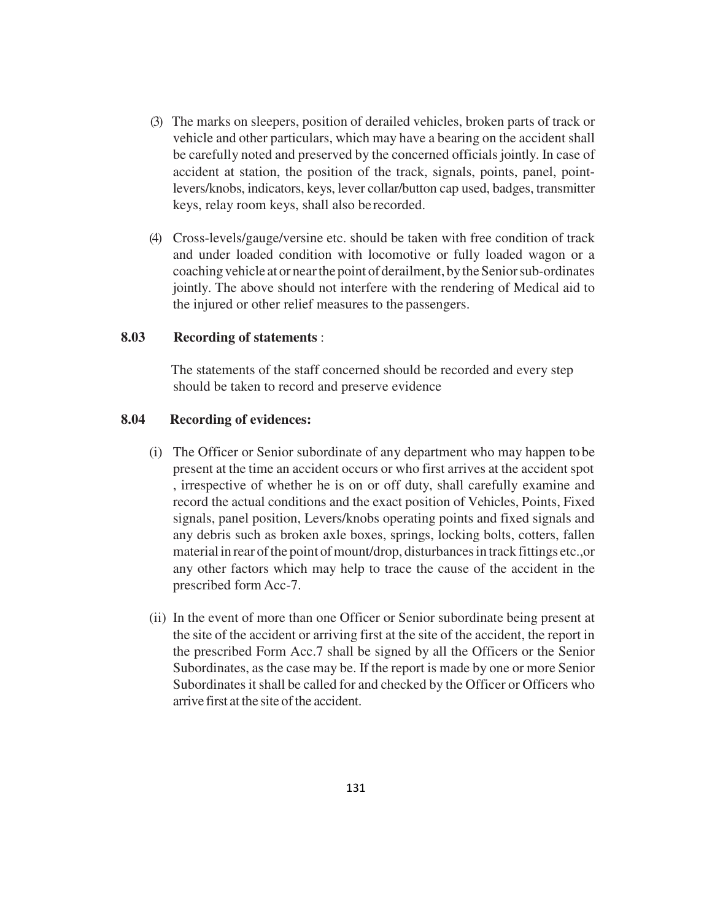- (3) The marks on sleepers, position of derailed vehicles, broken parts of track or vehicle and other particulars, which may have a bearing on the accident shall be carefully noted and preserved by the concerned officials jointly. In case of accident at station, the position of the track, signals, points, panel, pointlevers/knobs, indicators, keys, lever collar/button cap used, badges, transmitter keys, relay room keys, shall also be recorded.
- (4) Cross-levels/gauge/versine etc. should be taken with free condition of track and under loaded condition with locomotive or fully loaded wagon or a coaching vehicle at or near the point of derailment, by the Senior sub-ordinates jointly. The above should not interfere with the rendering of Medical aid to the injured or other relief measures to the passengers.

### **8.03 Recording of statements** :

 The statements of the staff concerned should be recorded and every step should be taken to record and preserve evidence

### **8.04 Recording of evidences:**

- (i) The Officer or Senior subordinate of any department who may happen to be present at the time an accident occurs or who first arrives at the accident spot , irrespective of whether he is on or off duty, shall carefully examine and record the actual conditions and the exact position of Vehicles, Points, Fixed signals, panel position, Levers/knobs operating points and fixed signals and any debris such as broken axle boxes, springs, locking bolts, cotters, fallen material in rear of the point of mount/drop, disturbances in track fittings etc.,or any other factors which may help to trace the cause of the accident in the prescribed form Acc-7.
- (ii) In the event of more than one Officer or Senior subordinate being present at the site of the accident or arriving first at the site of the accident, the report in the prescribed Form Acc.7 shall be signed by all the Officers or the Senior Subordinates, as the case may be. If the report is made by one or more Senior Subordinates it shall be called for and checked by the Officer or Officers who arrive first at the site of the accident.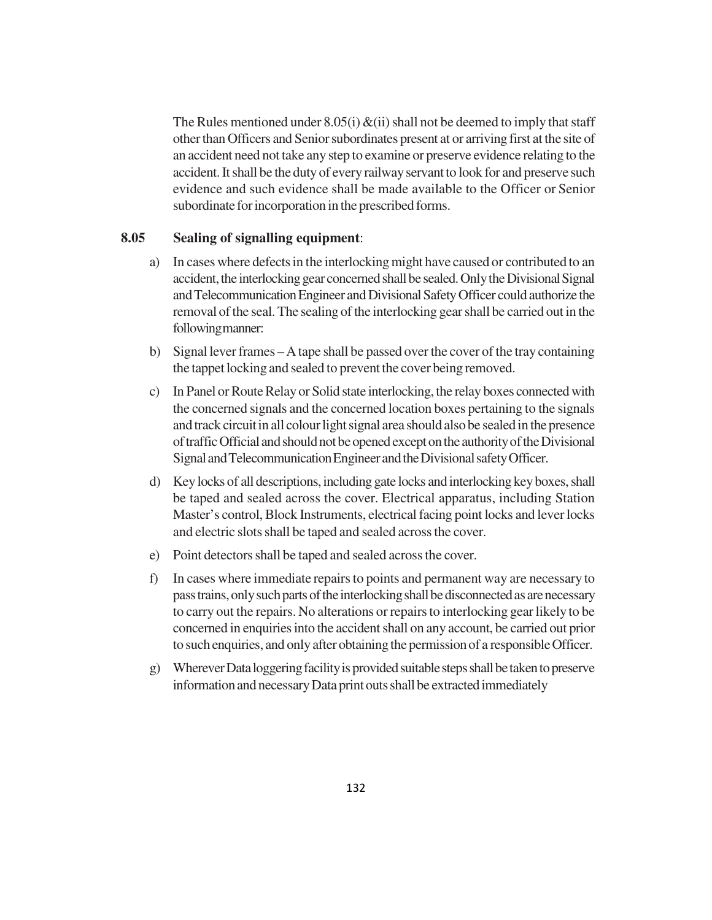The Rules mentioned under  $8.05(i) \& (ii)$  shall not be deemed to imply that staff other than Officers and Senior subordinates present at or arriving first at the site of an accident need not take any step to examine or preserve evidence relating to the accident. It shall be the duty of every railway servant to look for and preserve such evidence and such evidence shall be made available to the Officer or Senior subordinate for incorporation in the prescribed forms.

# **8.05 Sealing of signalling equipment**:

- a) In cases where defects in the interlocking might have caused or contributed to an accident, the interlocking gear concerned shall be sealed. Only the Divisional Signal and Telecommunication Engineer and Divisional Safety Officer could authorize the removal of the seal. The sealing of the interlocking gear shall be carried out in the following manner:
- b) Signal lever frames A tape shall be passed over the cover of the tray containing the tappet locking and sealed to prevent the cover being removed.
- c) In Panel or Route Relay or Solid state interlocking, the relay boxes connected with the concerned signals and the concerned location boxes pertaining to the signals and track circuit in all colour light signal area should also be sealed in the presence of traffic Official and should not be opened except on the authority of the Divisional Signal and Telecommunication Engineer and the Divisional safety Officer.
- d) Key locks of all descriptions, including gate locks and interlocking key boxes, shall be taped and sealed across the cover. Electrical apparatus, including Station Master's control, Block Instruments, electrical facing point locks and lever locks and electric slots shall be taped and sealed across the cover.
- e) Point detectors shall be taped and sealed across the cover.
- f) In cases where immediate repairs to points and permanent way are necessary to pass trains, only such parts of the interlocking shall be disconnected as are necessary to carry out the repairs. No alterations or repairs to interlocking gear likely to be concerned in enquiries into the accident shall on any account, be carried out prior to such enquiries, and only after obtaining the permission of a responsible Officer.
- g) Wherever Data loggering facility is provided suitable steps shall be taken to preserve information and necessary Data print outs shall be extracted immediately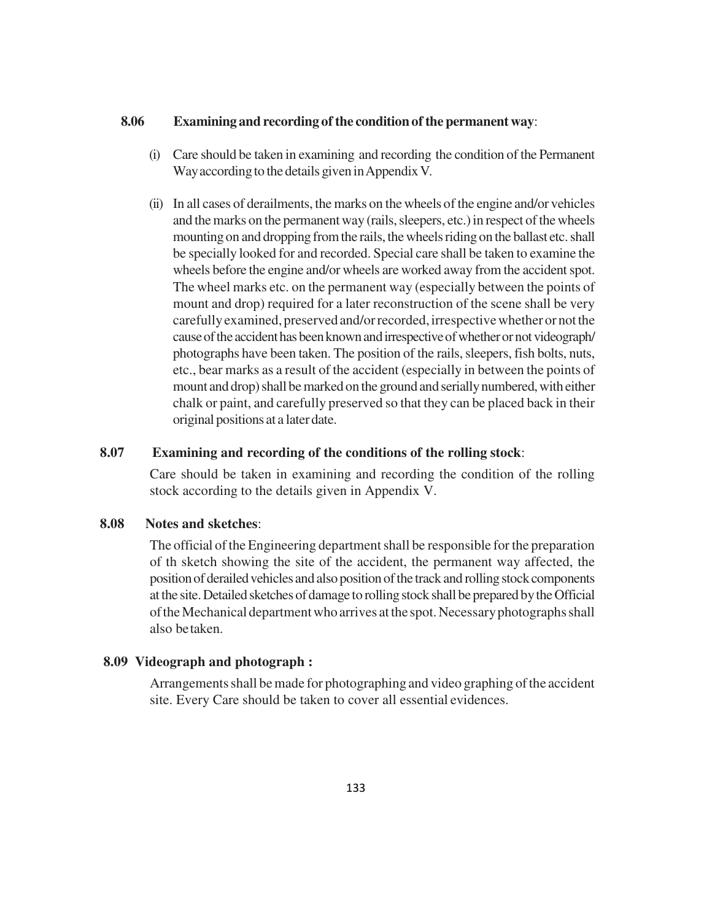### **8.06 Examining and recording of the condition of the permanent way**:

- (i) Care should be taken in examining and recording the condition of the Permanent Way according to the details given in Appendix V.
- (ii) In all cases of derailments, the marks on the wheels of the engine and/or vehicles and the marks on the permanent way (rails, sleepers, etc.) in respect of the wheels mounting on and dropping from the rails, the wheels riding on the ballast etc. shall be specially looked for and recorded. Special care shall be taken to examine the wheels before the engine and/or wheels are worked away from the accident spot. The wheel marks etc. on the permanent way (especially between the points of mount and drop) required for a later reconstruction of the scene shall be very carefully examined, preserved and/or recorded, irrespective whether or not the cause of the accident has been known and irrespective of whether or not videograph/ photographs have been taken. The position of the rails, sleepers, fish bolts, nuts, etc., bear marks as a result of the accident (especially in between the points of mount and drop) shall be marked on the ground and serially numbered, with either chalk or paint, and carefully preserved so that they can be placed back in their original positions at a later date.

## **8.07 Examining and recording of the conditions of the rolling stock**:

Care should be taken in examining and recording the condition of the rolling stock according to the details given in Appendix V.

# **8.08 Notes and sketches**:

The official of the Engineering department shall be responsible for the preparation of th sketch showing the site of the accident, the permanent way affected, the position of derailed vehicles and also position of the track and rolling stock components at the site. Detailed sketches of damage to rolling stock shall be prepared by the Official of the Mechanical department who arrives at the spot. Necessary photographs shall also be taken.

#### **8.09 Videograph and photograph :**

Arrangements shall be made for photographing and video graphing of the accident site. Every Care should be taken to cover all essential evidences.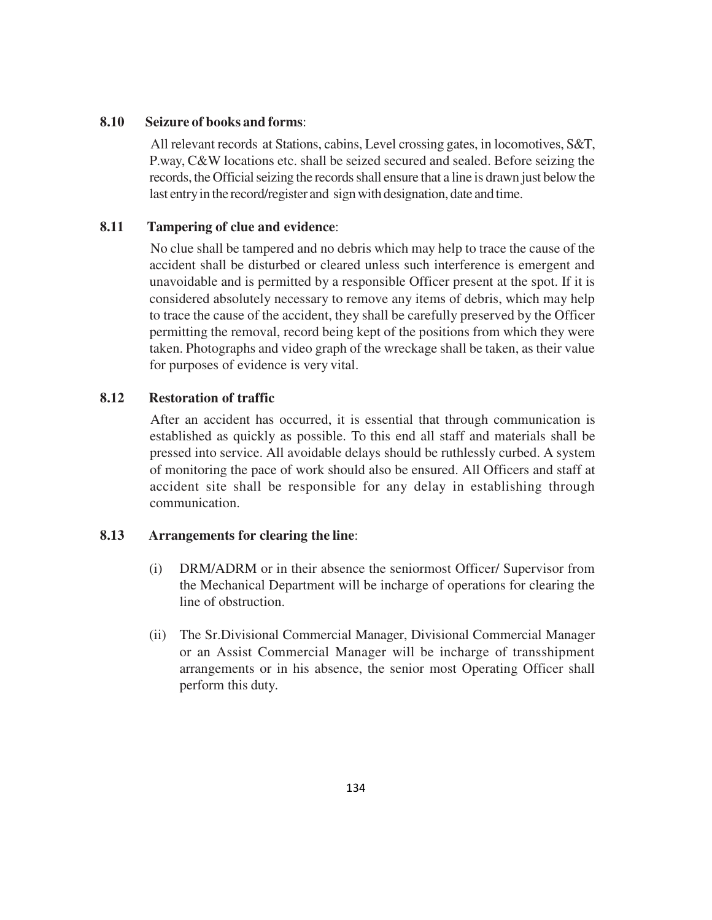## **8.10 Seizure of books and forms**:

All relevant records at Stations, cabins, Level crossing gates, in locomotives, S&T, P.way, C&W locations etc. shall be seized secured and sealed. Before seizing the records, the Official seizing the records shall ensure that a line is drawn just below the last entry in the record/register and sign with designation, date and time.

# **8.11 Tampering of clue and evidence**:

No clue shall be tampered and no debris which may help to trace the cause of the accident shall be disturbed or cleared unless such interference is emergent and unavoidable and is permitted by a responsible Officer present at the spot. If it is considered absolutely necessary to remove any items of debris, which may help to trace the cause of the accident, they shall be carefully preserved by the Officer permitting the removal, record being kept of the positions from which they were taken. Photographs and video graph of the wreckage shall be taken, as their value for purposes of evidence is very vital.

# **8.12 Restoration of traffic**

After an accident has occurred, it is essential that through communication is established as quickly as possible. To this end all staff and materials shall be pressed into service. All avoidable delays should be ruthlessly curbed. A system of monitoring the pace of work should also be ensured. All Officers and staff at accident site shall be responsible for any delay in establishing through communication.

## **8.13 Arrangements for clearing the line**:

- (i) DRM/ADRM or in their absence the seniormost Officer/ Supervisor from the Mechanical Department will be incharge of operations for clearing the line of obstruction.
- (ii) The Sr.Divisional Commercial Manager, Divisional Commercial Manager or an Assist Commercial Manager will be incharge of transshipment arrangements or in his absence, the senior most Operating Officer shall perform this duty.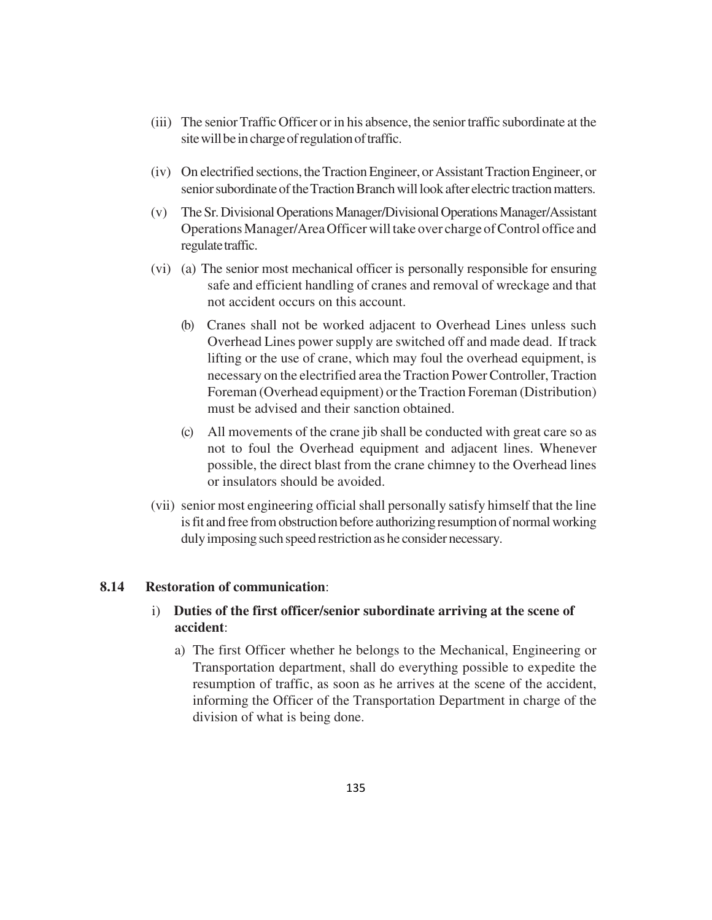- (iii) The senior Traffic Officer or in his absence, the senior traffic subordinate at the site will be in charge of regulation of traffic.
- (iv) On electrified sections, the Traction Engineer, or Assistant Traction Engineer, or senior subordinate of the Traction Branch will look after electric traction matters.
- (v) The Sr. Divisional Operations Manager/Divisional Operations Manager/Assistant Operations Manager/Area Officer will take over charge of Control office and regulate traffic.
- (vi) (a) The senior most mechanical officer is personally responsible for ensuring safe and efficient handling of cranes and removal of wreckage and that not accident occurs on this account.
	- (b) Cranes shall not be worked adjacent to Overhead Lines unless such Overhead Lines power supply are switched off and made dead. If track lifting or the use of crane, which may foul the overhead equipment, is necessary on the electrified area the Traction Power Controller, Traction Foreman (Overhead equipment) or the Traction Foreman (Distribution) must be advised and their sanction obtained.
	- (c) All movements of the crane jib shall be conducted with great care so as not to foul the Overhead equipment and adjacent lines. Whenever possible, the direct blast from the crane chimney to the Overhead lines or insulators should be avoided.
- (vii) senior most engineering official shall personally satisfy himself that the line is fit and free from obstruction before authorizing resumption of normal working duly imposing such speed restriction as he consider necessary.

## **8.14 Restoration of communication**:

# i) **Duties of the first officer/senior subordinate arriving at the scene of accident**:

a) The first Officer whether he belongs to the Mechanical, Engineering or Transportation department, shall do everything possible to expedite the resumption of traffic, as soon as he arrives at the scene of the accident, informing the Officer of the Transportation Department in charge of the division of what is being done.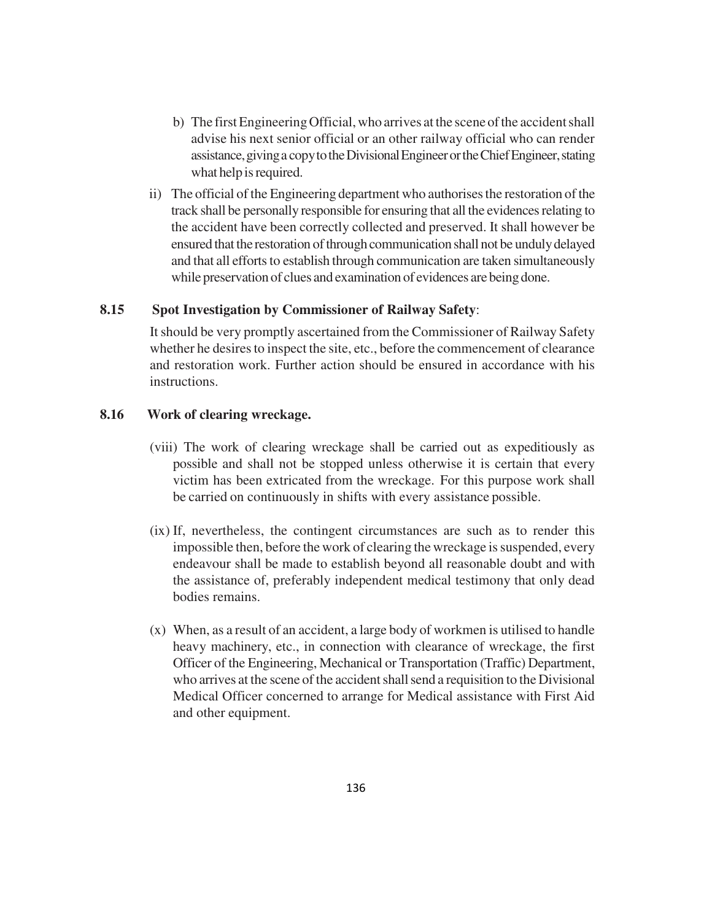- b) The first Engineering Official, who arrives at the scene of the accident shall advise his next senior official or an other railway official who can render assistance, giving a copy to the Divisional Engineer or the Chief Engineer, stating what help is required.
- ii) The official of the Engineering department who authorises the restoration of the track shall be personally responsible for ensuring that all the evidences relating to the accident have been correctly collected and preserved. It shall however be ensured that the restoration of through communication shall not be unduly delayed and that all efforts to establish through communication are taken simultaneously while preservation of clues and examination of evidences are being done.

## **8.15 Spot Investigation by Commissioner of Railway Safety**:

It should be very promptly ascertained from the Commissioner of Railway Safety whether he desires to inspect the site, etc., before the commencement of clearance and restoration work. Further action should be ensured in accordance with his instructions.

## **8.16 Work of clearing wreckage.**

- (viii) The work of clearing wreckage shall be carried out as expeditiously as possible and shall not be stopped unless otherwise it is certain that every victim has been extricated from the wreckage. For this purpose work shall be carried on continuously in shifts with every assistance possible.
- (ix) If, nevertheless, the contingent circumstances are such as to render this impossible then, before the work of clearing the wreckage is suspended, every endeavour shall be made to establish beyond all reasonable doubt and with the assistance of, preferably independent medical testimony that only dead bodies remains.
- (x) When, as a result of an accident, a large body of workmen is utilised to handle heavy machinery, etc., in connection with clearance of wreckage, the first Officer of the Engineering, Mechanical or Transportation (Traffic) Department, who arrives at the scene of the accident shall send a requisition to the Divisional Medical Officer concerned to arrange for Medical assistance with First Aid and other equipment.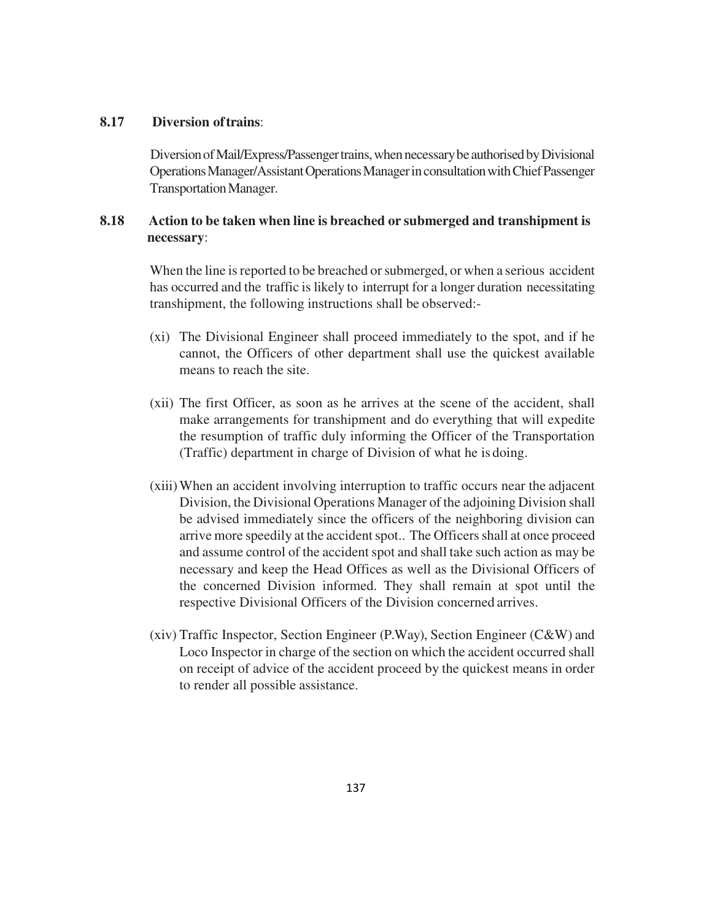# **8.17 Diversion of trains**:

Diversion of Mail/Express/Passenger trains, when necessary be authorised by Divisional Operations Manager/Assistant Operations Manager in consultation with Chief Passenger Transportation Manager.

# **8.18 Action to be taken when line is breached or submerged and transhipment is necessary**:

When the line is reported to be breached or submerged, or when a serious accident has occurred and the traffic is likely to interrupt for a longer duration necessitating transhipment, the following instructions shall be observed:-

- (xi) The Divisional Engineer shall proceed immediately to the spot, and if he cannot, the Officers of other department shall use the quickest available means to reach the site.
- (xii) The first Officer, as soon as he arrives at the scene of the accident, shall make arrangements for transhipment and do everything that will expedite the resumption of traffic duly informing the Officer of the Transportation (Traffic) department in charge of Division of what he is doing.
- (xiii)When an accident involving interruption to traffic occurs near the adjacent Division, the Divisional Operations Manager of the adjoining Division shall be advised immediately since the officers of the neighboring division can arrive more speedily at the accident spot.. The Officers shall at once proceed and assume control of the accident spot and shall take such action as may be necessary and keep the Head Offices as well as the Divisional Officers of the concerned Division informed. They shall remain at spot until the respective Divisional Officers of the Division concerned arrives.
- (xiv) Traffic Inspector, Section Engineer (P.Way), Section Engineer (C&W) and Loco Inspector in charge of the section on which the accident occurred shall on receipt of advice of the accident proceed by the quickest means in order to render all possible assistance.